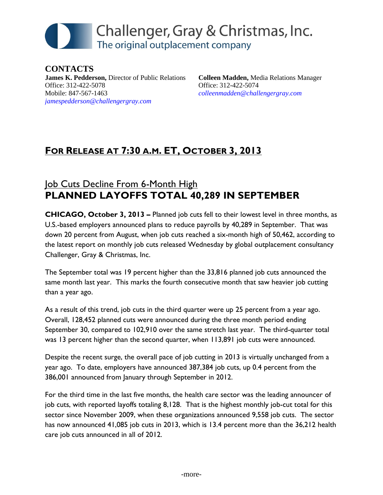# Challenger, Gray & Christmas, Inc. The original outplacement company

**CONTACTS James K. Pedderson,** Director of Public Relations Office: 312-422-5078 Mobile: 847-567-1463 *[jamespedderson@challengergray.com](mailto:jamespedderson@challengergray.com)*

**Colleen Madden,** Media Relations Manager Office: 312-422-5074 *[colleenmadden@challengergray.com](mailto:colleenmadden@challengergray.com)*

## **FOR RELEASE AT 7:30 A.M. ET, OCTOBER 3, 2013**

## **Job Cuts Decline From 6-Month High PLANNED LAYOFFS TOTAL 40,289 IN SEPTEMBER**

**CHICAGO, October 3, 2013 –** Planned job cuts fell to their lowest level in three months, as U.S.-based employers announced plans to reduce payrolls by 40,289 in September. That was down 20 percent from August, when job cuts reached a six-month high of 50,462, according to the latest report on monthly job cuts released Wednesday by global outplacement consultancy Challenger, Gray & Christmas, Inc.

The September total was 19 percent higher than the 33,816 planned job cuts announced the same month last year. This marks the fourth consecutive month that saw heavier job cutting than a year ago.

As a result of this trend, job cuts in the third quarter were up 25 percent from a year ago. Overall, 128,452 planned cuts were announced during the three month period ending September 30, compared to 102,910 over the same stretch last year. The third-quarter total was 13 percent higher than the second quarter, when 113,891 job cuts were announced.

Despite the recent surge, the overall pace of job cutting in 2013 is virtually unchanged from a year ago. To date, employers have announced 387,384 job cuts, up 0.4 percent from the 386,001 announced from January through September in 2012.

For the third time in the last five months, the health care sector was the leading announcer of job cuts, with reported layoffs totaling 8,128. That is the highest monthly job-cut total for this sector since November 2009, when these organizations announced 9,558 job cuts. The sector has now announced 41,085 job cuts in 2013, which is 13.4 percent more than the 36,212 health care job cuts announced in all of 2012.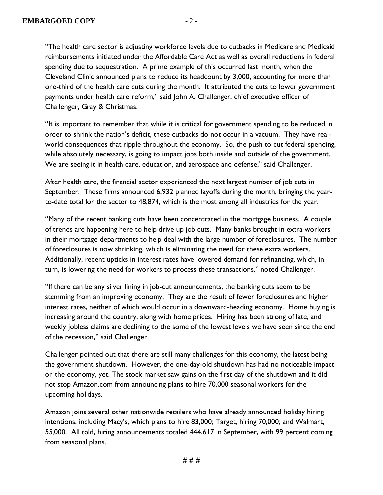reimbursements initiated under the Affordable Care Act as well as overall reductions in federal spending due to sequestration. A prime example of this occurred last month, when the Cleveland Clinic announced plans to reduce its headcount by 3,000, accounting for more than one-third of the health care cuts during the month. It attributed the cuts to lower government payments under health care reform," said John A. Challenger, chief executive officer of Challenger, Gray & Christmas.

"It is important to remember that while it is critical for government spending to be reduced in order to shrink the nation's deficit, these cutbacks do not occur in a vacuum. They have realworld consequences that ripple throughout the economy. So, the push to cut federal spending, while absolutely necessary, is going to impact jobs both inside and outside of the government. We are seeing it in health care, education, and aerospace and defense," said Challenger.

After health care, the financial sector experienced the next largest number of job cuts in September. These firms announced 6,932 planned layoffs during the month, bringing the yearto-date total for the sector to 48,874, which is the most among all industries for the year.

"Many of the recent banking cuts have been concentrated in the mortgage business. A couple of trends are happening here to help drive up job cuts. Many banks brought in extra workers in their mortgage departments to help deal with the large number of foreclosures. The number of foreclosures is now shrinking, which is eliminating the need for these extra workers. Additionally, recent upticks in interest rates have lowered demand for refinancing, which, in turn, is lowering the need for workers to process these transactions," noted Challenger.

"If there can be any silver lining in job-cut announcements, the banking cuts seem to be stemming from an improving economy. They are the result of fewer foreclosures and higher interest rates, neither of which would occur in a downward-heading economy. Home buying is increasing around the country, along with home prices. Hiring has been strong of late, and weekly jobless claims are declining to the some of the lowest levels we have seen since the end of the recession," said Challenger.

Challenger pointed out that there are still many challenges for this economy, the latest being the government shutdown. However, the one-day-old shutdown has had no noticeable impact on the economy, yet. The stock market saw gains on the first day of the shutdown and it did not stop Amazon.com from announcing plans to hire 70,000 seasonal workers for the upcoming holidays.

Amazon joins several other nationwide retailers who have already announced holiday hiring intentions, including Macy's, which plans to hire 83,000; Target, hiring 70,000; and Walmart, 55,000. All told, hiring announcements totaled 444,617 in September, with 99 percent coming from seasonal plans.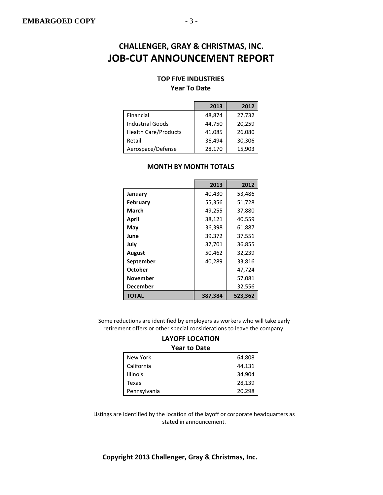#### **TOP FIVE INDUSTRIES**

#### **Year To Date**

|                             | 2013   | 2012   |
|-----------------------------|--------|--------|
| Financial                   | 48,874 | 27,732 |
| <b>Industrial Goods</b>     | 44,750 | 20,259 |
| <b>Health Care/Products</b> | 41,085 | 26,080 |
| Retail                      | 36,494 | 30,306 |
| Aerospace/Defense           | 28,170 | 15,903 |

|                 | 2013    | 2012    |
|-----------------|---------|---------|
| January         | 40,430  | 53,486  |
| <b>February</b> | 55,356  | 51,728  |
| March           | 49,255  | 37,880  |
| April           | 38,121  | 40,559  |
| May             | 36,398  | 61,887  |
| June            | 39,372  | 37,551  |
| July            | 37,701  | 36,855  |
| <b>August</b>   | 50,462  | 32,239  |
| September       | 40,289  | 33,816  |
| October         |         | 47,724  |
| <b>November</b> |         | 57,081  |
| December        |         | 32,556  |
| <b>TOTAL</b>    | 387,384 | 523,362 |

#### **MONTH BY MONTH TOTALS**

Some reductions are identified by employers as workers who will take early retirement offers or other special considerations to leave the company.

#### **LAYOFF LOCATION Year to Date**

| New York        | 64,808 |
|-----------------|--------|
| California      | 44,131 |
| <b>Illinois</b> | 34,904 |
| Texas           | 28,139 |
| Pennsylvania    | 20,298 |

Listings are identified by the location of the layoff or corporate headquarters as stated in announcement.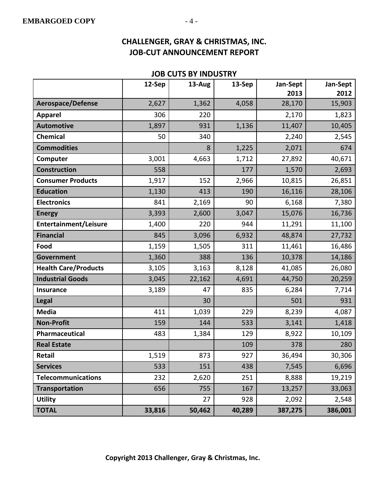#### **JOB CUTS BY INDUSTRY**

|                             | 12-Sep | 13-Aug | 13-Sep | Jan-Sept<br>2013 | Jan-Sept<br>2012 |
|-----------------------------|--------|--------|--------|------------------|------------------|
| <b>Aerospace/Defense</b>    | 2,627  | 1,362  | 4,058  | 28,170           | 15,903           |
| <b>Apparel</b>              | 306    | 220    |        | 2,170            | 1,823            |
| <b>Automotive</b>           | 1,897  | 931    | 1,136  | 11,407           | 10,405           |
| <b>Chemical</b>             | 50     | 340    |        | 2,240            | 2,545            |
| <b>Commodities</b>          |        | 8      | 1,225  | 2,071            | 674              |
| Computer                    | 3,001  | 4,663  | 1,712  | 27,892           | 40,671           |
| <b>Construction</b>         | 558    |        | 177    | 1,570            | 2,693            |
| <b>Consumer Products</b>    | 1,917  | 152    | 2,966  | 10,815           | 26,851           |
| <b>Education</b>            | 1,130  | 413    | 190    | 16,116           | 28,106           |
| <b>Electronics</b>          | 841    | 2,169  | 90     | 6,168            | 7,380            |
| <b>Energy</b>               | 3,393  | 2,600  | 3,047  | 15,076           | 16,736           |
| Entertainment/Leisure       | 1,400  | 220    | 944    | 11,291           | 11,100           |
| <b>Financial</b>            | 845    | 3,096  | 6,932  | 48,874           | 27,732           |
| Food                        | 1,159  | 1,505  | 311    | 11,461           | 16,486           |
| <b>Government</b>           | 1,360  | 388    | 136    | 10,378           | 14,186           |
| <b>Health Care/Products</b> | 3,105  | 3,163  | 8,128  | 41,085           | 26,080           |
| <b>Industrial Goods</b>     | 3,045  | 22,162 | 4,691  | 44,750           | 20,259           |
| <b>Insurance</b>            | 3,189  | 47     | 835    | 6,284            | 7,714            |
| <b>Legal</b>                |        | 30     |        | 501              | 931              |
| <b>Media</b>                | 411    | 1,039  | 229    | 8,239            | 4,087            |
| <b>Non-Profit</b>           | 159    | 144    | 533    | 3,141            | 1,418            |
| Pharmaceutical              | 483    | 1,384  | 129    | 8,922            | 10,109           |
| <b>Real Estate</b>          |        |        | 109    | 378              | 280              |
| Retail                      | 1,519  | 873    | 927    | 36,494           | 30,306           |
| <b>Services</b>             | 533    | 151    | 438    | 7,545            | 6,696            |
| <b>Telecommunications</b>   | 232    | 2,620  | 251    | 8,888            | 19,219           |
| <b>Transportation</b>       | 656    | 755    | 167    | 13,257           | 33,063           |
| <b>Utility</b>              |        | 27     | 928    | 2,092            | 2,548            |
| <b>TOTAL</b>                | 33,816 | 50,462 | 40,289 | 387,275          | 386,001          |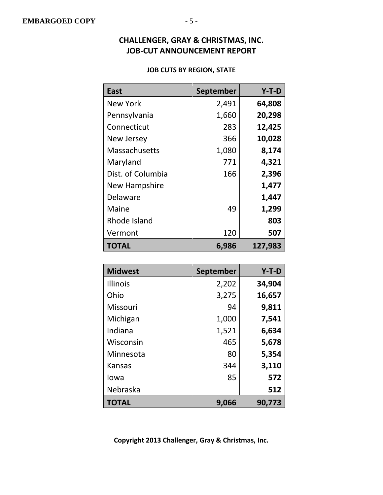#### **JOB CUTS BY REGION, STATE**

| East                 | <b>September</b> | $Y-T-D$ |
|----------------------|------------------|---------|
| <b>New York</b>      | 2,491            | 64,808  |
| Pennsylvania         | 1,660            | 20,298  |
| Connecticut          | 283              | 12,425  |
| <b>New Jersey</b>    | 366              | 10,028  |
| <b>Massachusetts</b> | 1,080            | 8,174   |
| Maryland             | 771              | 4,321   |
| Dist. of Columbia    | 166              | 2,396   |
| New Hampshire        |                  | 1,477   |
| Delaware             |                  | 1,447   |
| Maine                | 49               | 1,299   |
| Rhode Island         |                  | 803     |
| Vermont              | 120              | 507     |
| <b>TOTAL</b>         | 6,986            | 127,983 |

| <b>Midwest</b>  | September | $Y-T-D$ |
|-----------------|-----------|---------|
| <b>Illinois</b> | 2,202     | 34,904  |
| Ohio            | 3,275     | 16,657  |
| Missouri        | 94        | 9,811   |
| Michigan        | 1,000     | 7,541   |
| Indiana         | 1,521     | 6,634   |
| Wisconsin       | 465       | 5,678   |
| Minnesota       | 80        | 5,354   |
| <b>Kansas</b>   | 344       | 3,110   |
| lowa            | 85        | 572     |
| Nebraska        |           | 512     |
| <b>TOTAL</b>    | 9,066     | 90,773  |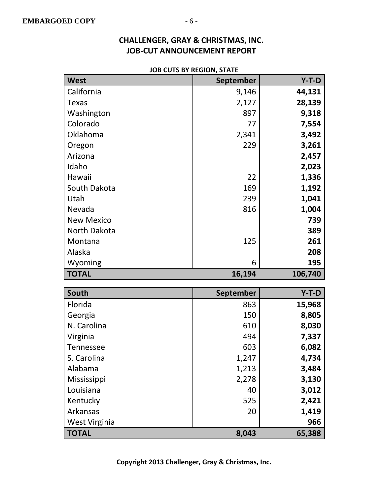#### **JOB CUTS BY REGION, STATE**

| West              | <b>September</b> | $Y-T-D$ |
|-------------------|------------------|---------|
| California        | 9,146            | 44,131  |
| <b>Texas</b>      | 2,127            | 28,139  |
| Washington        | 897              | 9,318   |
| Colorado          | 77               | 7,554   |
| Oklahoma          | 2,341            | 3,492   |
| Oregon            | 229              | 3,261   |
| Arizona           |                  | 2,457   |
| Idaho             |                  | 2,023   |
| Hawaii            | 22               | 1,336   |
| South Dakota      | 169              | 1,192   |
| Utah              | 239              | 1,041   |
| Nevada            | 816              | 1,004   |
| <b>New Mexico</b> |                  | 739     |
| North Dakota      |                  | 389     |
| Montana           | 125              | 261     |
| Alaska            |                  | 208     |
|                   |                  |         |
| Wyoming           | 6                | 195     |
| <b>TOTAL</b>      | 16,194           | 106,740 |
|                   |                  |         |
| South             | September        | $Y-T-D$ |
| Florida           | 863              | 15,968  |
| Georgia           | 150              | 8,805   |
| N. Carolina       | 610              | 8,030   |
| Virginia          | 494              | 7,337   |
| <b>Tennessee</b>  | 603              | 6,082   |
| S. Carolina       | 1,247            | 4,734   |
| Alabama           | 1,213            | 3,484   |
| Mississippi       | 2,278            | 3,130   |
| Louisiana         | 40               | 3,012   |
| Kentucky          | 525              | 2,421   |
| Arkansas          | 20               | 1,419   |
| West Virginia     |                  | 966     |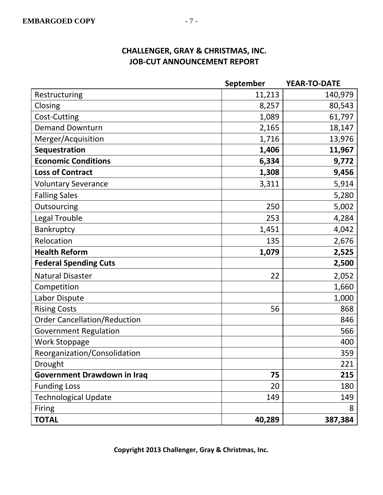|                                     | September | <b>YEAR-TO-DATE</b> |
|-------------------------------------|-----------|---------------------|
| Restructuring                       | 11,213    | 140,979             |
| Closing                             | 8,257     | 80,543              |
| Cost-Cutting                        | 1,089     | 61,797              |
| <b>Demand Downturn</b>              | 2,165     | 18,147              |
| Merger/Acquisition                  | 1,716     | 13,976              |
| <b>Sequestration</b>                | 1,406     | 11,967              |
| <b>Economic Conditions</b>          | 6,334     | 9,772               |
| <b>Loss of Contract</b>             | 1,308     | 9,456               |
| <b>Voluntary Severance</b>          | 3,311     | 5,914               |
| <b>Falling Sales</b>                |           | 5,280               |
| Outsourcing                         | 250       | 5,002               |
| <b>Legal Trouble</b>                | 253       | 4,284               |
| Bankruptcy                          | 1,451     | 4,042               |
| Relocation                          | 135       | 2,676               |
| <b>Health Reform</b>                | 1,079     | 2,525               |
| <b>Federal Spending Cuts</b>        |           | 2,500               |
| <b>Natural Disaster</b>             | 22        | 2,052               |
| Competition                         |           | 1,660               |
| Labor Dispute                       |           | 1,000               |
| <b>Rising Costs</b>                 | 56        | 868                 |
| <b>Order Cancellation/Reduction</b> |           | 846                 |
| <b>Government Regulation</b>        |           | 566                 |
| <b>Work Stoppage</b>                |           | 400                 |
| Reorganization/Consolidation        |           | 359                 |
| Drought                             |           | 221                 |
| <b>Government Drawdown in Iraq</b>  | 75        | 215                 |
| <b>Funding Loss</b>                 | 20        | 180                 |
| <b>Technological Update</b>         | 149       | 149                 |
| Firing                              |           | 8                   |
| <b>TOTAL</b>                        | 40,289    | 387,384             |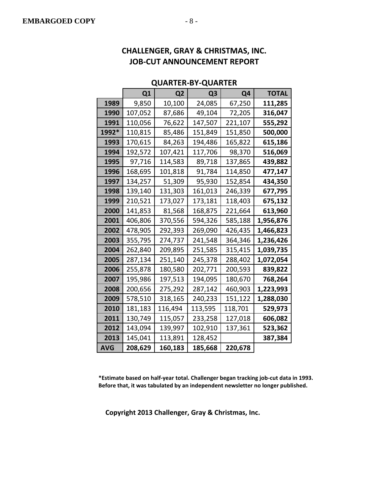#### **QUARTER-BY-QUARTER**

|       | Q1      | Q <sub>2</sub> | Q <sub>3</sub> | Q4      | <b>TOTAL</b> |
|-------|---------|----------------|----------------|---------|--------------|
| 1989  | 9,850   | 10,100         | 24,085         | 67,250  | 111,285      |
| 1990  | 107,052 | 87,686         | 49,104         | 72,205  | 316,047      |
| 1991  | 110,056 | 76,622         | 147,507        | 221,107 | 555,292      |
| 1992* | 110,815 | 85,486         | 151,849        | 151,850 | 500,000      |
| 1993  | 170,615 | 84,263         | 194,486        | 165,822 | 615,186      |
| 1994  | 192,572 | 107,421        | 117,706        | 98,370  | 516,069      |
| 1995  | 97,716  | 114,583        | 89,718         | 137,865 | 439,882      |
| 1996  | 168,695 | 101,818        | 91,784         | 114,850 | 477,147      |
| 1997  | 134,257 | 51,309         | 95,930         | 152,854 | 434,350      |
| 1998  | 139,140 | 131,303        | 161,013        | 246,339 | 677,795      |
| 1999  | 210,521 | 173,027        | 173,181        | 118,403 | 675,132      |
| 2000  | 141,853 | 81,568         | 168,875        | 221,664 | 613,960      |
| 2001  | 406,806 | 370,556        | 594,326        | 585,188 | 1,956,876    |
| 2002  | 478,905 | 292,393        | 269,090        | 426,435 | 1,466,823    |
| 2003  | 355,795 | 274,737        | 241,548        | 364,346 | 1,236,426    |
| 2004  | 262,840 | 209,895        | 251,585        | 315,415 | 1,039,735    |
| 2005  | 287,134 | 251,140        | 245,378        | 288,402 | 1,072,054    |
| 2006  | 255,878 | 180,580        | 202,771        | 200,593 | 839,822      |
| 2007  | 195,986 | 197,513        | 194,095        | 180,670 | 768,264      |
| 2008  | 200,656 | 275,292        | 287,142        | 460,903 | 1,223,993    |
| 2009  | 578,510 | 318,165        | 240,233        | 151,122 | 1,288,030    |
| 2010  | 181,183 | 116,494        | 113,595        | 118,701 | 529,973      |
| 2011  | 130,749 | 115,057        | 233,258        | 127,018 | 606,082      |
| 2012  | 143,094 | 139,997        | 102,910        | 137,361 | 523,362      |
| 2013  | 145,041 | 113,891        | 128,452        |         | 387,384      |
| AVG   | 208,629 | 160,183        | 185,668        | 220,678 |              |

**\*Estimate based on half-year total. Challenger began tracking job-cut data in 1993. Before that, it was tabulated by an independent newsletter no longer published.**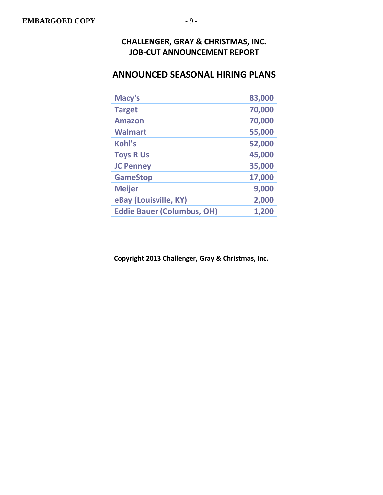## **ANNOUNCED SEASONAL HIRING PLANS**

| Macy's                            | 83,000 |
|-----------------------------------|--------|
| <b>Target</b>                     | 70,000 |
| <b>Amazon</b>                     | 70,000 |
| <b>Walmart</b>                    | 55,000 |
| Kohl's                            | 52,000 |
| <b>Toys R Us</b>                  | 45,000 |
| <b>JC Penney</b>                  | 35,000 |
| <b>GameStop</b>                   | 17,000 |
| <b>Meijer</b>                     | 9,000  |
| eBay (Louisville, KY)             | 2,000  |
| <b>Eddie Bauer (Columbus, OH)</b> | 1,200  |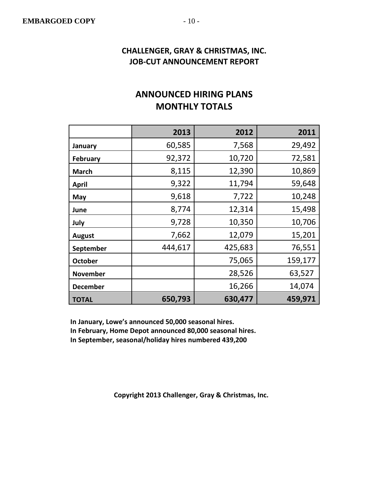## **ANNOUNCED HIRING PLANS MONTHLY TOTALS**

|                 | 2013    | 2012    | 2011    |
|-----------------|---------|---------|---------|
| January         | 60,585  | 7,568   | 29,492  |
| <b>February</b> | 92,372  | 10,720  | 72,581  |
| <b>March</b>    | 8,115   | 12,390  | 10,869  |
| <b>April</b>    | 9,322   | 11,794  | 59,648  |
| May             | 9,618   | 7,722   | 10,248  |
| June            | 8,774   | 12,314  | 15,498  |
| July            | 9,728   | 10,350  | 10,706  |
| <b>August</b>   | 7,662   | 12,079  | 15,201  |
| September       | 444,617 | 425,683 | 76,551  |
| <b>October</b>  |         | 75,065  | 159,177 |
| <b>November</b> |         | 28,526  | 63,527  |
| <b>December</b> |         | 16,266  | 14,074  |
| <b>TOTAL</b>    | 650,793 | 630,477 | 459,971 |

**In January, Lowe's announced 50,000 seasonal hires.**

**In February, Home Depot announced 80,000 seasonal hires.**

**In September, seasonal/holiday hires numbered 439,200**